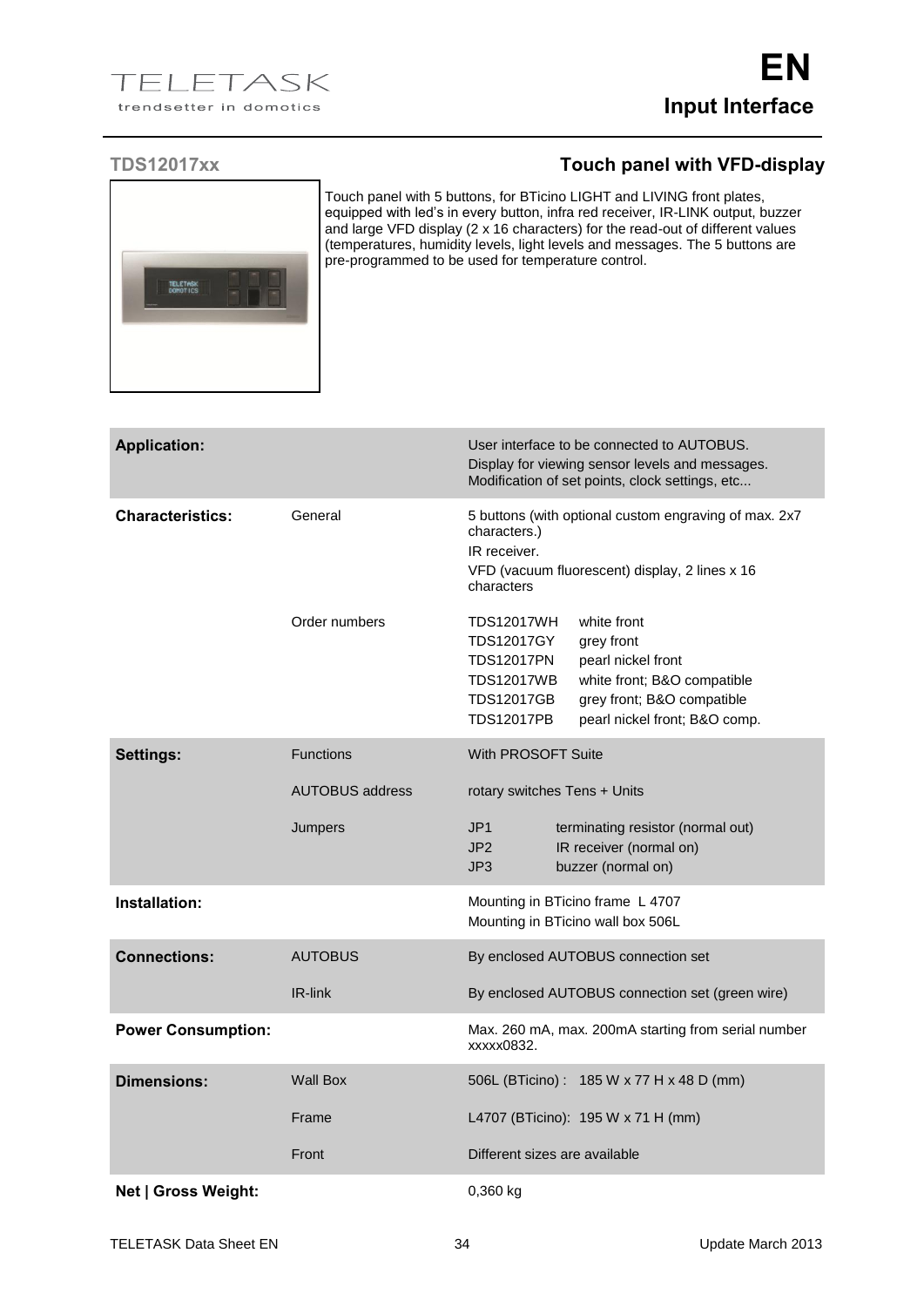

Touch panel with 5 buttons, for BTicino LIGHT and LIVING front plates, equipped with led's in every button, infra red receiver, IR-LINK output, buzzer and large VFD display (2 x 16 characters) for the read-out of different values (temperatures, humidity levels, light levels and messages. The 5 buttons are pre-programmed to be used for temperature control.

| <b>Application:</b>       |                        | User interface to be connected to AUTOBUS.<br>Display for viewing sensor levels and messages.<br>Modification of set points, clock settings, etc                                                                                                                            |
|---------------------------|------------------------|-----------------------------------------------------------------------------------------------------------------------------------------------------------------------------------------------------------------------------------------------------------------------------|
| <b>Characteristics:</b>   | General                | 5 buttons (with optional custom engraving of max. 2x7<br>characters.)<br>IR receiver.<br>VFD (vacuum fluorescent) display, 2 lines x 16<br>characters                                                                                                                       |
|                           | Order numbers          | white front<br><b>TDS12017WH</b><br><b>TDS12017GY</b><br>grey front<br><b>TDS12017PN</b><br>pearl nickel front<br><b>TDS12017WB</b><br>white front; B&O compatible<br><b>TDS12017GB</b><br>grey front; B&O compatible<br><b>TDS12017PB</b><br>pearl nickel front; B&O comp. |
| <b>Settings:</b>          | <b>Functions</b>       | With PROSOFT Suite                                                                                                                                                                                                                                                          |
|                           | <b>AUTOBUS address</b> | rotary switches Tens + Units                                                                                                                                                                                                                                                |
|                           | Jumpers                | JP <sub>1</sub><br>terminating resistor (normal out)<br>JP <sub>2</sub><br>IR receiver (normal on)<br>JP3<br>buzzer (normal on)                                                                                                                                             |
| Installation:             |                        | Mounting in BTicino frame L 4707<br>Mounting in BTicino wall box 506L                                                                                                                                                                                                       |
| <b>Connections:</b>       | <b>AUTOBUS</b>         | By enclosed AUTOBUS connection set                                                                                                                                                                                                                                          |
|                           | IR-link                | By enclosed AUTOBUS connection set (green wire)                                                                                                                                                                                                                             |
| <b>Power Consumption:</b> |                        | Max. 260 mA, max. 200mA starting from serial number<br>xxxxx0832.                                                                                                                                                                                                           |
| Dimensions:               | <b>Wall Box</b>        | 506L (BTicino): 185 W x 77 H x 48 D (mm)                                                                                                                                                                                                                                    |
|                           | Frame                  | L4707 (BTicino): 195 W x 71 H (mm)                                                                                                                                                                                                                                          |
|                           | Front                  | Different sizes are available                                                                                                                                                                                                                                               |
| Net   Gross Weight:       |                        | 0,360 kg                                                                                                                                                                                                                                                                    |

## **TDS12017xx Touch panel with VFD-display**